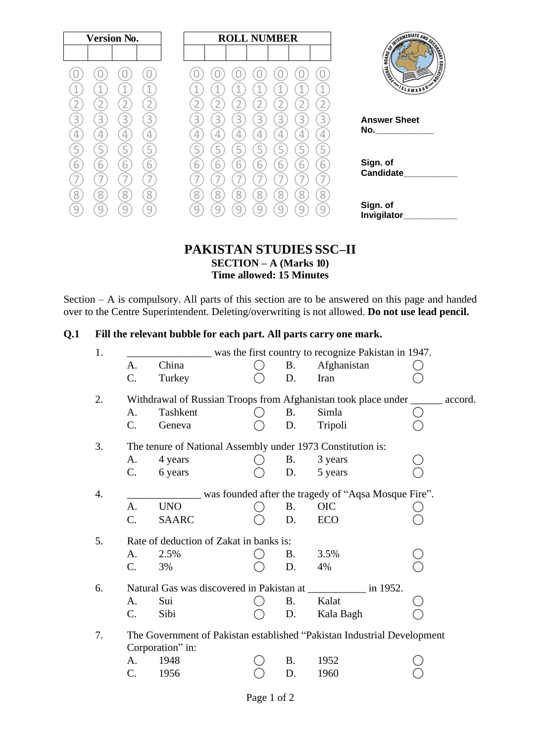| <b>Version No.</b>                                        | <b>ROLL NUMBER</b>              |                                                                                                                        |
|-----------------------------------------------------------|---------------------------------|------------------------------------------------------------------------------------------------------------------------|
|                                                           |                                 | <b>CONTROLLATE AND SCORE AND SCORE AND SCORE AND SCORE AND SCORE AND SCORE AND SCORE AND SCORE AND SCORE AND SCORE</b> |
|                                                           |                                 | <b>EDUCATION</b><br>Limited                                                                                            |
| ⊣<br>$\triangleleft$                                      | 1                               | SLAMABAD                                                                                                               |
|                                                           |                                 |                                                                                                                        |
| 3<br>3<br>3<br>К                                          | 3<br>3<br>3<br>3<br>3<br>3<br>3 | <b>Answer Sheet</b><br>No._______________                                                                              |
| 4<br>4                                                    | 4<br>4<br>4<br>4                |                                                                                                                        |
| ∽                                                         | 5                               |                                                                                                                        |
| $\overline{6}$<br>6<br>6<br>h<br>$\overline{\phantom{a}}$ | 6<br>6<br>h<br>h<br>ь<br>ь<br>р | Sign. of<br><b>Candidate</b>                                                                                           |
| 8<br>8<br>8                                               | Զ<br>8<br>8<br>8<br>8           |                                                                                                                        |
| $\cup$                                                    |                                 | Sign. of                                                                                                               |
|                                                           |                                 | Invigilator                                                                                                            |

### **PAKISTAN STUDIES SSC–II SECTION – A (Marks 10) Time allowed: 15 Minutes**

Section – A is compulsory. All parts of this section are to be answered on this page and handed over to the Centre Superintendent. Deleting/overwriting is not allowed. **Do not use lead pencil.**

### **Q.1 Fill the relevant bubble for each part. All parts carry one mark.**

|                |                                         |           | was the first country to recognize Pakistan in 1947.                           |  |
|----------------|-----------------------------------------|-----------|--------------------------------------------------------------------------------|--|
| A.             | China                                   | <b>B.</b> | Afghanistan                                                                    |  |
| C.             | Turkey                                  | D.        | Iran                                                                           |  |
|                |                                         |           | Withdrawal of Russian Troops from Afghanistan took place under _______ accord. |  |
| A.             | Tashkent                                | Β.        | Simla                                                                          |  |
| $\mathbf{C}$ . | Geneva                                  | D.        | Tripoli                                                                        |  |
|                |                                         |           | The tenure of National Assembly under 1973 Constitution is:                    |  |
| A.             | 4 years                                 | <b>B.</b> | 3 years                                                                        |  |
| C.             | 6 years                                 | D.        | 5 years                                                                        |  |
|                |                                         |           | was founded after the tragedy of "Aqsa Mosque Fire".                           |  |
| A.             | <b>UNO</b>                              | <b>B.</b> | <b>OIC</b>                                                                     |  |
| C.             | <b>SAARC</b>                            | D.        | ECO                                                                            |  |
|                | Rate of deduction of Zakat in banks is: |           |                                                                                |  |
| A.             | 2.5%                                    | <b>B.</b> | 3.5%                                                                           |  |
| $\mathbf{C}$ . | 3%                                      | D.        | 4%                                                                             |  |
|                |                                         |           | Natural Gas was discovered in Pakistan at ______________ in 1952.              |  |
| A.             | Sui                                     | <b>B.</b> | Kalat                                                                          |  |
| C.             | Sibi                                    | D.        | Kala Bagh                                                                      |  |
|                |                                         |           | The Government of Pakistan established "Pakistan Industrial Development"       |  |
|                | Corporation" in:                        |           |                                                                                |  |
| A.             | 1948                                    | <b>B.</b> | 1952                                                                           |  |
| C.             | 1956                                    | D.        | 1960                                                                           |  |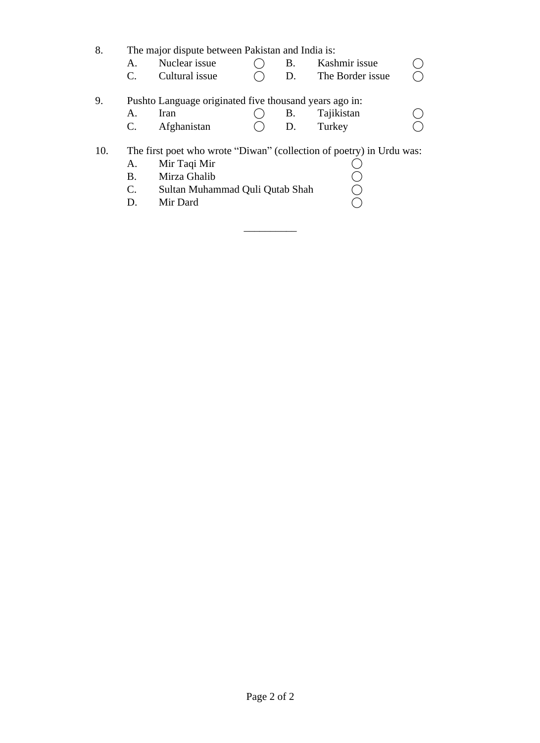8. The major dispute between Pakistan and India is:

A. Nuclear issue  $\bigcirc$  B. Kashmir issue  $\bigcirc$  C. Cultural issue  $\bigcirc$  D. The Border issue  $\bigcirc$  $C.$  Cultural issue  $O$  D. The Border issue

# 9. Pushto Language originated five thousand years ago in:<br>A. Iran  $\bigcirc$  B. Tajikistan

A. Iran  $\bigcirc$  B. Tajikistan  $\bigcirc$  B. Tajikistan  $\bigcirc$  D. Turkey  $\bigcirc$ C. Afghanistan ()

 $\overline{\phantom{a}}$  , where  $\overline{\phantom{a}}$ 

### 10. The first poet who wrote "Diwan" (collection of poetry) in Urdu was:

A. Mir Taqi Mir<br>
B. Mirza Ghalib (C. Sultan Muhammad Quli Qutab Shah (D. Mir Dard (O B. Mirza Ghalib C. Sultan Muhammad Quli Qutab Shah D. Mir Dard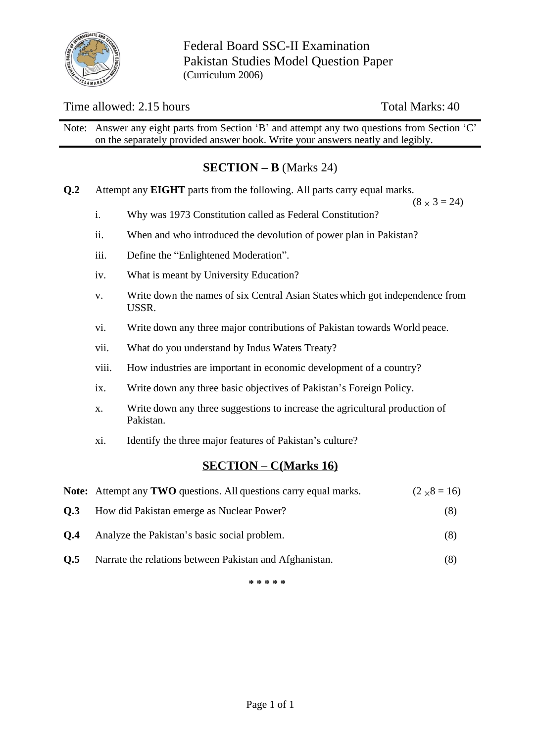

Federal Board SSC-II Examination Pakistan Studies Model Question Paper (Curriculum 2006)

### Time allowed: 2.15 hours Total Marks: 40

Note: Answer any eight parts from Section 'B' and attempt any two questions from Section 'C' on the separately provided answer book. Write your answers neatly and legibly.

### **SECTION – B** (Marks 24)

**Q.2** Attempt any **EIGHT** parts from the following. All parts carry equal marks.

 $(8 \times 3 = 24)$ 

- i. Why was 1973 Constitution called as Federal Constitution?
- ii. When and who introduced the devolution of power plan in Pakistan?
- iii. Define the "Enlightened Moderation".
- iv. What is meant by University Education?
- v. Write down the names of six Central Asian States which got independence from USSR.
- vi. Write down any three major contributions of Pakistan towards World peace.
- vii. What do you understand by Indus Waters Treaty?
- viii. How industries are important in economic development of a country?
- ix. Write down any three basic objectives of Pakistan's Foreign Policy.
- x. Write down any three suggestions to increase the agricultural production of Pakistan.
- xi. Identify the three major features of Pakistan's culture?

### **SECTION – C(Marks 16)**

|     | <b>Note:</b> Attempt any <b>TWO</b> questions. All questions carry equal marks. | $(2 \times 8 = 16)$ |
|-----|---------------------------------------------------------------------------------|---------------------|
| 0.3 | How did Pakistan emerge as Nuclear Power?                                       | (8)                 |
| O.4 | Analyze the Pakistan's basic social problem.                                    | (8)                 |
| 0.5 | Narrate the relations between Pakistan and Afghanistan.                         | (8)                 |

**\* \* \* \* \***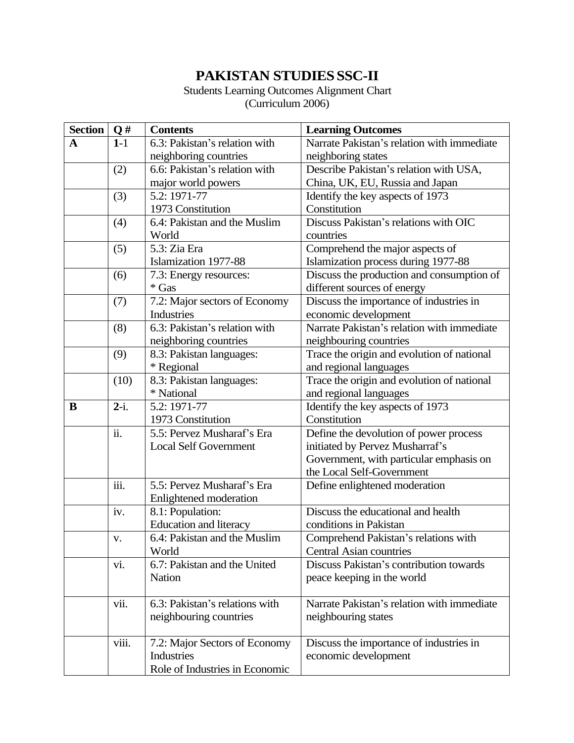## **PAKISTAN STUDIESSSC-II**

Students Learning Outcomes Alignment Chart (Curriculum 2006)

| <b>Section</b> | $\mathbf{Q}$ #    | <b>Contents</b>                | <b>Learning Outcomes</b>                   |  |  |
|----------------|-------------------|--------------------------------|--------------------------------------------|--|--|
| A              | $1-1$             | 6.3: Pakistan's relation with  | Narrate Pakistan's relation with immediate |  |  |
|                |                   | neighboring countries          | neighboring states                         |  |  |
|                | (2)               | 6.6: Pakistan's relation with  | Describe Pakistan's relation with USA,     |  |  |
|                |                   | major world powers             | China, UK, EU, Russia and Japan            |  |  |
|                | (3)               | 5.2: 1971-77                   | Identify the key aspects of 1973           |  |  |
|                |                   | 1973 Constitution              | Constitution                               |  |  |
|                | (4)               | 6.4: Pakistan and the Muslim   | Discuss Pakistan's relations with OIC      |  |  |
|                |                   | World                          | countries                                  |  |  |
|                | (5)               | 5.3: Zia Era                   | Comprehend the major aspects of            |  |  |
|                |                   | Islamization 1977-88           | Islamization process during 1977-88        |  |  |
|                | (6)               | 7.3: Energy resources:         | Discuss the production and consumption of  |  |  |
|                |                   | * Gas                          | different sources of energy                |  |  |
|                | (7)               | 7.2: Major sectors of Economy  | Discuss the importance of industries in    |  |  |
|                |                   | Industries                     | economic development                       |  |  |
|                | (8)               | 6.3: Pakistan's relation with  | Narrate Pakistan's relation with immediate |  |  |
|                |                   | neighboring countries          | neighbouring countries                     |  |  |
|                | (9)               | 8.3: Pakistan languages:       | Trace the origin and evolution of national |  |  |
|                |                   | * Regional                     | and regional languages                     |  |  |
|                | (10)              | 8.3: Pakistan languages:       | Trace the origin and evolution of national |  |  |
|                |                   | * National                     | and regional languages                     |  |  |
| B              | $2-i.$            | 5.2: 1971-77                   | Identify the key aspects of 1973           |  |  |
|                |                   | 1973 Constitution              | Constitution                               |  |  |
|                | $\overline{ii}$ . | 5.5: Pervez Musharaf's Era     | Define the devolution of power process     |  |  |
|                |                   | <b>Local Self Government</b>   | initiated by Pervez Musharraf's            |  |  |
|                |                   |                                | Government, with particular emphasis on    |  |  |
|                |                   |                                | the Local Self-Government                  |  |  |
|                | iii.              | 5.5: Pervez Musharaf's Era     | Define enlightened moderation              |  |  |
|                |                   | Enlightened moderation         |                                            |  |  |
|                | iv.               | 8.1: Population:               | Discuss the educational and health         |  |  |
|                |                   | <b>Education and literacy</b>  | conditions in Pakistan                     |  |  |
|                | V.                | 6.4: Pakistan and the Muslim   | Comprehend Pakistan's relations with       |  |  |
|                |                   | World                          | <b>Central Asian countries</b>             |  |  |
|                | vi.               | 6.7: Pakistan and the United   | Discuss Pakistan's contribution towards    |  |  |
|                |                   | Nation                         | peace keeping in the world                 |  |  |
|                |                   |                                |                                            |  |  |
|                | vii.              | 6.3: Pakistan's relations with | Narrate Pakistan's relation with immediate |  |  |
|                |                   | neighbouring countries         | neighbouring states                        |  |  |
|                |                   |                                |                                            |  |  |
|                | viii.             | 7.2: Major Sectors of Economy  | Discuss the importance of industries in    |  |  |
|                |                   | Industries                     | economic development                       |  |  |
|                |                   | Role of Industries in Economic |                                            |  |  |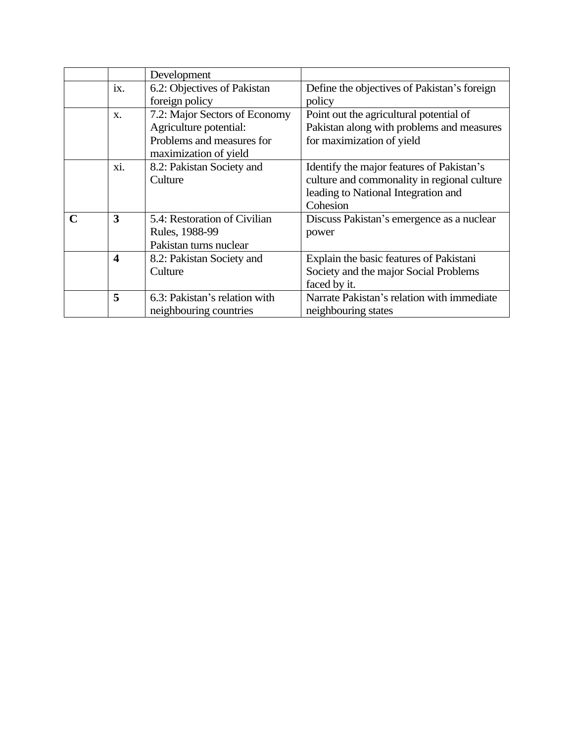|             |                         | Development                   |                                             |  |
|-------------|-------------------------|-------------------------------|---------------------------------------------|--|
|             | ix.                     | 6.2: Objectives of Pakistan   | Define the objectives of Pakistan's foreign |  |
|             |                         | foreign policy                | policy                                      |  |
|             | $\mathbf{X}$ .          | 7.2: Major Sectors of Economy | Point out the agricultural potential of     |  |
|             |                         | Agriculture potential:        | Pakistan along with problems and measures   |  |
|             |                         | Problems and measures for     | for maximization of yield                   |  |
|             |                         | maximization of yield         |                                             |  |
|             | xi.                     | 8.2: Pakistan Society and     | Identify the major features of Pakistan's   |  |
|             |                         | Culture                       | culture and commonality in regional culture |  |
|             |                         |                               | leading to National Integration and         |  |
|             |                         |                               | Cohesion                                    |  |
| $\mathbf C$ | 3                       | 5.4: Restoration of Civilian  | Discuss Pakistan's emergence as a nuclear   |  |
|             |                         | Rules, 1988-99                | power                                       |  |
|             |                         | Pakistan turns nuclear        |                                             |  |
|             | $\overline{\mathbf{4}}$ | 8.2: Pakistan Society and     | Explain the basic features of Pakistani     |  |
|             |                         | Culture                       | Society and the major Social Problems       |  |
|             |                         |                               | faced by it.                                |  |
|             | 5                       | 6.3: Pakistan's relation with | Narrate Pakistan's relation with immediate  |  |
|             |                         | neighbouring countries        | neighbouring states                         |  |